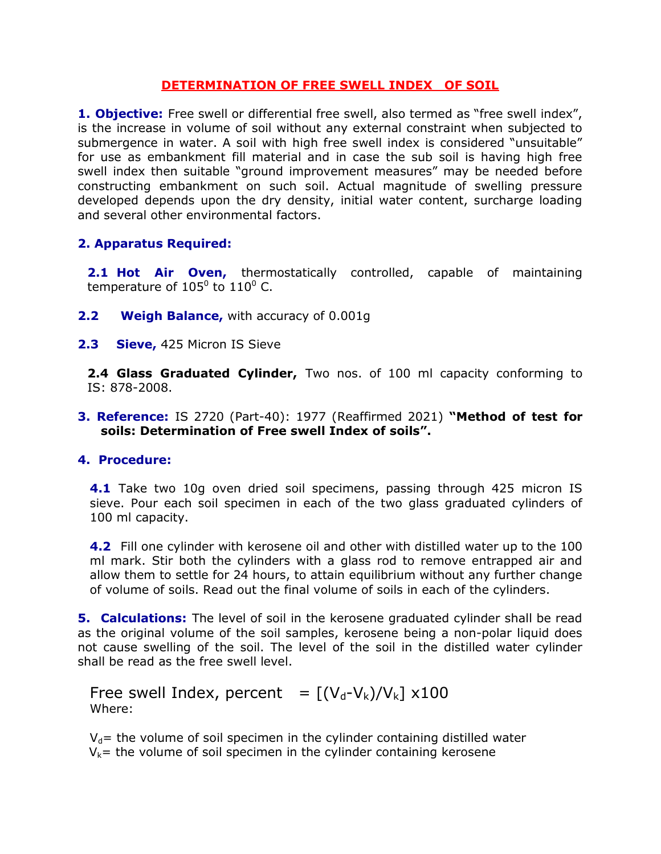## DETERMINATION OF FREE SWELL INDEX OF SOIL

1. Objective: Free swell or differential free swell, also termed as "free swell index", is the increase in volume of soil without any external constraint when subjected to submergence in water. A soil with high free swell index is considered "unsuitable" for use as embankment fill material and in case the sub soil is having high free swell index then suitable "ground improvement measures" may be needed before constructing embankment on such soil. Actual magnitude of swelling pressure developed depends upon the dry density, initial water content, surcharge loading and several other environmental factors.

## 2. Apparatus Required:

2.1 Hot Air Oven, thermostatically controlled, capable of maintaining temperature of 105<sup>0</sup> to 110<sup>0</sup> C.

- **2.2** Weigh Balance, with accuracy of 0.001q
- 2.3 Sieve, 425 Micron IS Sieve

2.4 Glass Graduated Cylinder, Two nos. of 100 ml capacity conforming to IS: 878-2008.

3. Reference: IS 2720 (Part-40): 1977 (Reaffirmed 2021) "Method of test for soils: Determination of Free swell Index of soils".

## 4. Procedure:

**4.1** Take two 10g oven dried soil specimens, passing through 425 micron IS sieve. Pour each soil specimen in each of the two glass graduated cylinders of 100 ml capacity.

4.2 Fill one cylinder with kerosene oil and other with distilled water up to the 100 ml mark. Stir both the cylinders with a glass rod to remove entrapped air and allow them to settle for 24 hours, to attain equilibrium without any further change of volume of soils. Read out the final volume of soils in each of the cylinders.

**5. Calculations:** The level of soil in the kerosene graduated cylinder shall be read as the original volume of the soil samples, kerosene being a non-polar liquid does not cause swelling of the soil. The level of the soil in the distilled water cylinder shall be read as the free swell level.

Free swell Index, percent =  $[(V_d-V_k)/V_k] \times 100$ Where:

 $V_d$ = the volume of soil specimen in the cylinder containing distilled water  $V_k$ = the volume of soil specimen in the cylinder containing kerosene